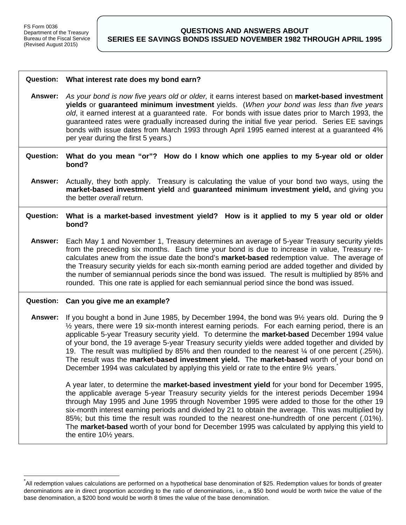-

## **QUESTIONS AND ANSWERS ABOUT SERIES EE SAVINGS BONDS ISSUED NOVEMBER 1982 THROUGH APRIL 1995**

|                  | Question: What interest rate does my bond earn?                                                                                                                                                                                                                                                                                                                                                                                                                                                                                                                                                                                                                                                            |
|------------------|------------------------------------------------------------------------------------------------------------------------------------------------------------------------------------------------------------------------------------------------------------------------------------------------------------------------------------------------------------------------------------------------------------------------------------------------------------------------------------------------------------------------------------------------------------------------------------------------------------------------------------------------------------------------------------------------------------|
| Answer:          | As your bond is now five years old or older, it earns interest based on market-based investment<br>yields or guaranteed minimum investment yields. (When your bond was less than five years<br>old, it earned interest at a guaranteed rate. For bonds with issue dates prior to March 1993, the<br>guaranteed rates were gradually increased during the initial five year period. Series EE savings<br>bonds with issue dates from March 1993 through April 1995 earned interest at a guaranteed 4%<br>per year during the first 5 years.)                                                                                                                                                                |
| <b>Question:</b> | What do you mean "or"? How do I know which one applies to my 5-year old or older<br>bond?                                                                                                                                                                                                                                                                                                                                                                                                                                                                                                                                                                                                                  |
| Answer:          | Actually, they both apply. Treasury is calculating the value of your bond two ways, using the<br>market-based investment yield and guaranteed minimum investment yield, and giving you<br>the better overall return.                                                                                                                                                                                                                                                                                                                                                                                                                                                                                       |
| <b>Question:</b> | What is a market-based investment yield? How is it applied to my 5 year old or older<br>bond?                                                                                                                                                                                                                                                                                                                                                                                                                                                                                                                                                                                                              |
| Answer:          | Each May 1 and November 1, Treasury determines an average of 5-year Treasury security yields<br>from the preceding six months. Each time your bond is due to increase in value, Treasury re-<br>calculates anew from the issue date the bond's market-based redemption value. The average of<br>the Treasury security yields for each six-month earning period are added together and divided by<br>the number of semiannual periods since the bond was issued. The result is multiplied by 85% and<br>rounded. This one rate is applied for each semiannual period since the bond was issued.                                                                                                             |
|                  | Question: Can you give me an example?                                                                                                                                                                                                                                                                                                                                                                                                                                                                                                                                                                                                                                                                      |
| <b>Answer:</b>   | If you bought a bond in June 1985, by December 1994, the bond was 9 <sup>1/2</sup> years old. During the 9<br>1/2 years, there were 19 six-month interest earning periods. For each earning period, there is an<br>applicable 5-year Treasury security yield. To determine the market-based December 1994 value<br>of your bond, the 19 average 5-year Treasury security yields were added together and divided by<br>19. The result was multiplied by 85% and then rounded to the nearest 1/4 of one percent (.25%).<br>The result was the market-based investment yield. The market-based worth of your bond on<br>December 1994 was calculated by applying this yield or rate to the entire 91/2 years. |
|                  | A year later, to determine the market-based investment yield for your bond for December 1995,<br>the applicable average 5-year Treasury security yields for the interest periods December 1994<br>through May 1995 and June 1995 through November 1995 were added to those for the other 19<br>six-month interest earning periods and divided by 21 to obtain the average. This was multiplied by<br>85%; but this time the result was rounded to the nearest one-hundredth of one percent (.01%).<br>The market-based worth of your bond for December 1995 was calculated by applying this yield to<br>the entire 10 <sup>1</sup> / <sub>2</sub> years.                                                   |

<sup>.&</sup>lt;br>All redemption values calculations are performed on a hypothetical base denomination of \$25. Redemption values for bonds of greater denominations are in direct proportion according to the ratio of denominations, i.e., a \$50 bond would be worth twice the value of the base denomination, a \$200 bond would be worth 8 times the value of the base denomination.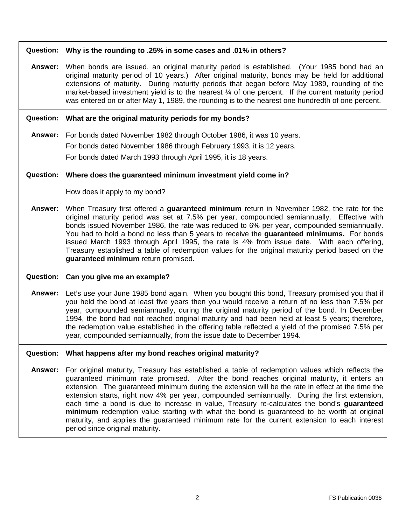| Answer:          | When bonds are issued, an original maturity period is established. (Your 1985 bond had an<br>original maturity period of 10 years.) After original maturity, bonds may be held for additional<br>extensions of maturity. During maturity periods that began before May 1989, rounding of the<br>market-based investment yield is to the nearest $\frac{1}{4}$ of one percent. If the current maturity period<br>was entered on or after May 1, 1989, the rounding is to the nearest one hundredth of one percent. |
|------------------|-------------------------------------------------------------------------------------------------------------------------------------------------------------------------------------------------------------------------------------------------------------------------------------------------------------------------------------------------------------------------------------------------------------------------------------------------------------------------------------------------------------------|
| <b>Question:</b> | What are the original maturity periods for my bonds?                                                                                                                                                                                                                                                                                                                                                                                                                                                              |
| Answer:          | For bonds dated November 1982 through October 1986, it was 10 years.                                                                                                                                                                                                                                                                                                                                                                                                                                              |
|                  | For bonds dated November 1986 through February 1993, it is 12 years.                                                                                                                                                                                                                                                                                                                                                                                                                                              |
|                  | For bonds dated March 1993 through April 1995, it is 18 years.                                                                                                                                                                                                                                                                                                                                                                                                                                                    |
| Question:        | Where does the guaranteed minimum investment yield come in?                                                                                                                                                                                                                                                                                                                                                                                                                                                       |

**Question: Why is the rounding to .25% in some cases and .01% in others?** 

How does it apply to my bond?

- **Answer:** When Treasury first offered a **guaranteed minimum** return in November 1982, the rate for the original maturity period was set at 7.5% per year, compounded semiannually. Effective with bonds issued November 1986, the rate was reduced to 6% per year, compounded semiannually. You had to hold a bond no less than 5 years to receive the **guaranteed minimums.** For bonds issued March 1993 through April 1995, the rate is 4% from issue date. With each offering, Treasury established a table of redemption values for the original maturity period based on the **guaranteed minimum** return promised.
- **Question: Can you give me an example?**
- **Answer:** Let's use your June 1985 bond again. When you bought this bond, Treasury promised you that if you held the bond at least five years then you would receive a return of no less than 7.5% per year, compounded semiannually, during the original maturity period of the bond. In December 1994, the bond had not reached original maturity and had been held at least 5 years; therefore, the redemption value established in the offering table reflected a yield of the promised 7.5% per year, compounded semiannually, from the issue date to December 1994.

## **Question: What happens after my bond reaches original maturity?**

**Answer:** For original maturity, Treasury has established a table of redemption values which reflects the guaranteed minimum rate promised. After the bond reaches original maturity, it enters an extension. The guaranteed minimum during the extension will be the rate in effect at the time the extension starts, right now 4% per year, compounded semiannually. During the first extension, each time a bond is due to increase in value, Treasury re-calculates the bond's **guaranteed minimum** redemption value starting with what the bond is guaranteed to be worth at original maturity, and applies the guaranteed minimum rate for the current extension to each interest period since original maturity.